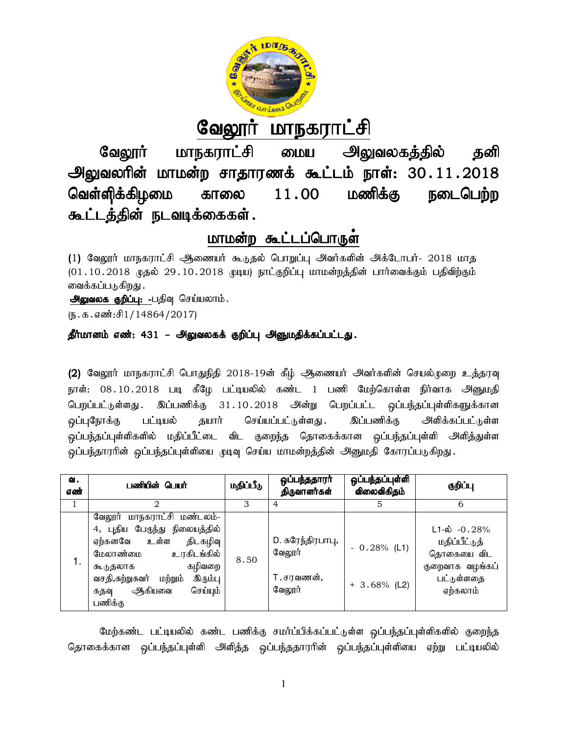

# <u>வேலூர் மாநகராட்சி</u>

வேலூர் மாநகராட்சி மைய அலுவலகத்தில் தனி வேலூர் மாநகராட்சி மைய அலுவலகத்தில் தனி<br>அலுவலரின் மாமன்ற சாதாரணக் கூட்டம் நாள்: 30 .11 .2018 வெள்ளிக்கிழமை காலை கூட்டத்தின் நடவடிக்கைகள்.  $11.00$  மணிக்கு நடைபெற்ற

# <u>மாமன்ற கூட்டப்பொருள</u>்

(1) வேலூர் மாநகராட்சி ஆணையர் கூடுதல் பொறுப்பு அவர்களின் அக்டோபர்- 2018 மாத (01.10.2018 முதல் 29.10.2018 முடிய) நாட்குறிப்பு மாமன்றத்தின் பார்வைக்கும் பதிவிற்கும் வைக்கப்படுகிறது .

அலுவலக குறிப்பு: -பதிவு செய்யலாம்.

 $(5.5.5.5\text{m}^3;\text{f}1/14864/2017)$ 

# தீர்மானம் எண்: 431 – அலுவலகக் குறிப்பு அனுமதிக்கப்பட்டது.

(2) வேலூர் மாநகராட்சி பொதுநிதி 2018-19ன் கீழ் ஆணையர் அவர்களின் செயல்முறை உத்தரவு நாள்: 08.10.2018 படி க்ழே பட்டியலில் கண்ட 1 பணி மேற்கொள்ள நிர்வாக அனுமதி பெறப்பட்டுள்ளது . இப்பணிக்கு 31 . 10 . 2018 அன்று பெறப்பட்ட ஒப்பந்தப்புள்ளிகளுக்கான <u>ஒ</u>ப்புநோக்கு பட்டியல் தயார் செய்யப்பட்டுள்ளது . இப்பணிக்கு ஒப்பந்தப்புள்ளிகளில் மதிப்பீட்டை விட குறைந்த தொகைக்கான ஒப்பந்தப்புள்ளி அளித்துள்ள ஒப்பந்தாரரின் ஒப்பந்தப்புள்ளியை முடிவு செய்ய மாமன்றத்தின் அனுமதி கோரப்படுகிறது. அளிக்கப்பட்டுள்ள நாட்குறிப்பு மாமன்றத்தின் பார்வைக்கும் பதிவிற்கும்<br>பு **அனுமதிக்கப்பட்டது .**<br>19ன் கீழ் ஆணையர் அவர்களின் செயல்முறை உத்<sub>தி</sub><br>0ல் கண்ட 1 பணி மேற்கொள்ள நிர்வாக அனு<br>2018 அன்று பெறப்பட்ட ஒப்பந்தப்புள்ளிகளுக்க<br>சம்யப்பட்டு

| வ.<br>எண் | பணியின் பெயர்                                                                                                                                                                                                                     | மதிப்பீடு | ஒப்பந்ததாரா<br>திருவாளர்கள்                                | ஒப்பந்தப்புள்ளி<br>விலைவிகிதம்   | குறிப்பு                                                                                                |
|-----------|-----------------------------------------------------------------------------------------------------------------------------------------------------------------------------------------------------------------------------------|-----------|------------------------------------------------------------|----------------------------------|---------------------------------------------------------------------------------------------------------|
|           |                                                                                                                                                                                                                                   | З         |                                                            | 5                                | 6                                                                                                       |
| 1.        | மாநகராட்சி மண்டலம்-<br>வேலூர்<br>4, புதிய பேருந்து நிலையத்தில்<br>உள்ள<br>திடகழிவு<br>ஏற்கனவே<br>உரகிடங்கில்<br>மேலாண்மை<br>கழிவறை<br>கூடுதலாக<br>வசதி,சுற்றுசுவர்<br>இரும்பு<br>மற்றும்<br>செய்யும்<br>ஆகியவை<br>கதவு<br>பணிக்கு | 8.50      | D. சுரேந்திரபாபு,<br>வேலூர்<br>T.சரவணன் <i>,</i><br>வேலூர் | $-0.28\%$ (L1)<br>$+3.68\%$ (L2) | $L1 - \dot{\omega}$ - 0.28%<br>மதிப்பீட்டுத்<br>தொகையை விட<br>குறைவாக வழங்கப்<br>பட்டுள்ளதை<br>ஏற்கலாம் |

மேற்கண்ட பட்டியலில் கண்ட பணிக்கு சமாப்பிக்கப்பட்டுள்ள ஒப்பந்தப்புள்ளிகளில் குறைந்த மேற்கண்ட பட்டியலில் கண்ட பணிக்கு சமாப்பிக்கப்பட்டுள்ள ஒப்பந்தப்புள்ளிகளில் குறைந்த<br>தொகைக்கான ஒப்பந்தப்புள்ளி அளித்த ஒப்பந்ததாரரின் ஒப்பந்தப்புள்ளியை ஏற்று பட்டியலில்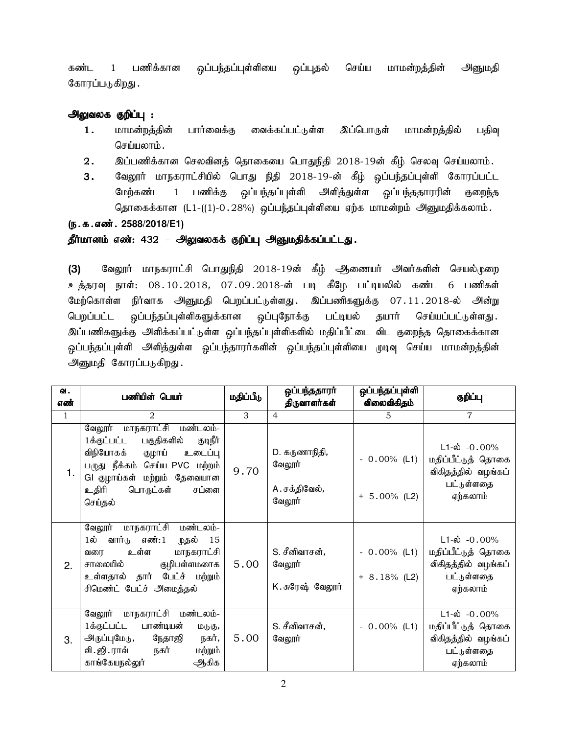கண்ட 1 பணிக்கான ஒப்பந்தப்புள்ளியை ஒப்புதல் செய்ய மாமன்றத்தின் அனுமதி கோரப்படுகிறது.

# அலுவலக குறிப்பு :

- 1. மாமன்றத்தின் பார்வைக்கு வைக்கப்பட்டுள்ள இப்பொருள் மாமன்றத்தில் பதிவு செய்யலாம்.
- $2.$   $\,$  இப்பணிக்கான செலவினத் தொகையை பொதுநிதி  $2018$ -19ன் கீழ் செலவு செய்யலாம்.
- 3. வேலூர் மாநகராட்சியில் பொது நிதி 2018-19-ன் கீழ் ஒப்பந்தப்புள்ளி கோரப்பட்ட மேற்கண்ட 1 பணிக்கு ஒப்பந்தப்புள்ளி அளித்துள்ள ஒப்பந்ததாரரின் குறைந்த தொகைக்கான (L1-((1)-0.28%) ஒப்பந்தப்புள்ளியை ஏற்க மாமன்றம் அனுமதிக்கலாம்.

(ந.க.எண். 2588/2018/E1)

# தீர்மானம் எண்: 432 – அலுவலகக் குறிப்பு அனுமதிக்கப்பட்டது.

(3) வேலூர் மாநகராட்சி பொதுநிதி 2018-19ன் கீழ் ஆணையர் அவர்களின் செயல்முறை உத்தரவு நாள்: 08.10.2018, 07.09.2018-ன் படி கீழே பட்டியலில் கண்ட 6 பணிகள் மேற்கொள்ள நிர்வாக அனுமதி பெறப்பட்டுள்ளது. இப்பணிகளுக்கு 07.11.2018-ல் அன்று பெறப்பட்ட ஒப்பந்தப்புள்ளிகளுக்கான ஒப்புநோக்கு பட்டியல் தயார் செய்யப்பட்டுள்ளது. இப்பணிகளுக்கு அளிக்கப்பட்டுள்ள ஒப்பந்தப்புள்ளிகளில் மதிப்பீட்டை விட குறைந்த தொகைக்கான ஒப்பந்தப்புள்ளி அளித்துள்ள ஒப்பந்தாரர்களின் ஒப்பந்தப்புள்ளியை முடிவு செய்ய மாமன்றத்தின் அனுமதி கோரப்படுகிறது.

| வ.           | பணியின் பெயர்                                                                                                                                                                                                        | ஒப்பந்ததாரா்<br>மதிப்பீடு |                                                    | ஒப்பந்தப்புள்ளி                   | குறிப்பு                                                                                          |  |
|--------------|----------------------------------------------------------------------------------------------------------------------------------------------------------------------------------------------------------------------|---------------------------|----------------------------------------------------|-----------------------------------|---------------------------------------------------------------------------------------------------|--|
| எண்          |                                                                                                                                                                                                                      |                           | திருவாளர்கள்                                       | விலைவிகிதம்                       |                                                                                                   |  |
| $\mathbf{1}$ | $\mathcal{D}_{\mathcal{L}}$                                                                                                                                                                                          | $\overline{\mathcal{E}}$  | $\overline{4}$                                     | 5                                 | $\overline{7}$                                                                                    |  |
| 1.           | மாநகராட்சி மண்டலம்-<br>வேலூர்<br>பகுதிகளில்<br>1க்குட்பட்ட<br>குடிநீர்<br>விநியோகக்<br>குழாய்<br>உடைப்பு<br>பழுது நீக்கம் செய்ய PVC மற்றம்<br>GI குழாய்கள் மற்றும் தேவையான<br>உதிரி<br>பொருட்கள்<br>சப்ளை<br>செய்தல் | 9.70                      | D. கருணாநிதி,<br>வேலூர்<br>A. சக்திவேல்,<br>வேலூர் | $-0.00\%$ (L1)<br>$+ 5.00\%$ (L2) | $L1-\dot{\omega}$ -0.00%<br>மதிப்பீட்டுத் தொகை<br>விகிதத்தில் வழங்கப்<br>பட்டுள்ளதை<br>ஏற்கலாம்   |  |
| 2.           | மண்டலம்-<br><u>மாநகராட்சி</u><br>வேலூர்<br>வார்டு எண்:1<br>முதல்<br>$1$ ல்<br>15<br>உள்ள<br>மாநகராட்சி<br>வரை<br>குழிபள்ளமனாக<br>சாலையில்<br>உள்ளதால் தார் பேட்ச் மற்றும்<br>சிமெண்ட் பேட்ச் அமைத்தல்                | 5.00                      | S. சீனிவாசன்,<br>வேலூர்<br>K. சுரேஷ் வேலூர்        | $-0.00\%$ (L1)<br>$+ 8.18\%$ (L2) | $L1-\omega$ -0.00%<br>மதிப்பீட்டுத் தொகை<br>விகிதத்தில் வழங்கப்<br>பட்டுள்ளதை<br>ஏற்கலாம்         |  |
| 3.           | வேலூர் மாநகராட்சி மண்டலம்-<br>1க்குட்பட்ட பாண்டியன்<br>மடுகு,<br>அருப்புமேடு <i>,</i><br>நேதாஜி<br>நகர்,<br>வி. ஜி. ராவ்<br>நகர்<br>மற்றும்<br>காங்கேயநல்லூ்<br>ஆகிக                                                 | 5.00                      | S. சீனிவாசன்,<br>வேலூர்                            | $-0.00\%$ (L1)                    | $L1-\dot{\omega} - 0.00\%$<br>மதிப்பீட்டுத் தொகை<br>விகிதத்தில் வழங்கப்<br>பட்டுள்ளதை<br>ஏற்கலாம் |  |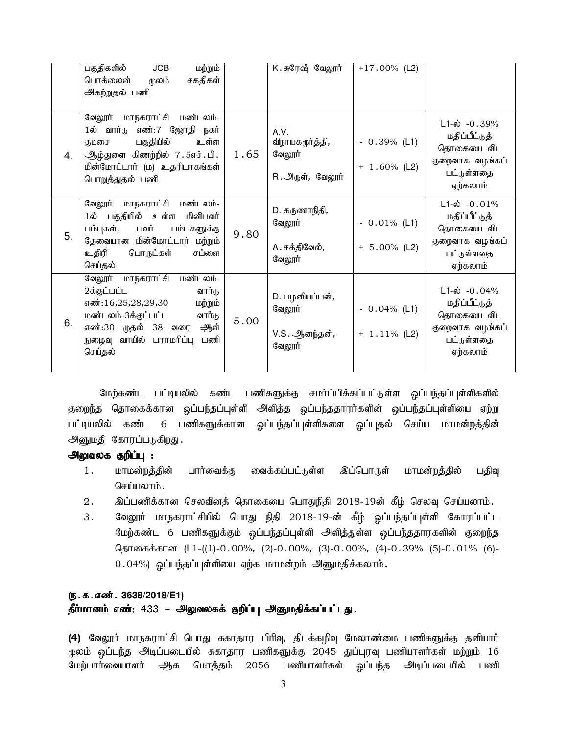|    | பகுதிகளில்<br>மற்றும்<br>JCB<br>பொக்லைன்<br>மூலம்<br>சகதிகள்<br>அகற்றுதல் பணி                                                                                                                            |      | K. சுரேஷ் வேலூர்                                            | $+17.00\%$ (L2)                   |                                                                                                      |
|----|----------------------------------------------------------------------------------------------------------------------------------------------------------------------------------------------------------|------|-------------------------------------------------------------|-----------------------------------|------------------------------------------------------------------------------------------------------|
| 4. | வேலூர் மாநகராட்சி மண்டலம்-<br>1ல் வார்டு எண்:7 ஜோதி நகர்<br>பகுதியில்<br>உள்ள<br>குடிசை<br>ஆழ்துளை கிணற்றில் 7.5எச்.பி.<br>மின்மோட்டார் (ம) உதரிபாகங்கள்<br>பொறுத்துதல் பணி                              | 1.65 | A.V.<br>விநாயகமூர்த்தி,<br>வேலூர்<br>R. அருள், வேலூர்       | $-0.39\%$ (L1)<br>$+ 1.60\%$ (L2) | $L1-\dot{\omega}$ -0.39%<br>மதிப்பீட்டுத்<br>தொகையை விட<br>குறைவாக வழங்கப்<br>பட்டுள்ளதை<br>ஏற்கலாம் |
| 5. | மாநகராட்சி மண்டலம்-<br>வேலூர்<br>1ல் பகுதியில் உள்ள மினிபவர்<br>பம்புகள், பவர்<br>பம்புகளுக்கு<br>தேவையான மின்மோட்டார் மற்றும்<br>உதிரி<br>பொருட்கள்<br>சப்ளை<br>செய்தல்                                 | 9.80 | D. கருணாநிதி,<br>வேலூர்<br>A. சக்திவேல்,<br>வேலூர்          | $-0.01\%$ (L1)<br>$+ 5.00\%$ (L2) | $L1-\dot{\omega}$ -0.01%<br>மதிப்பீட்டுத்<br>தொகையை விட<br>குறைவாக வழங்கப்<br>பட்டுள்ளதை<br>ஏற்கலாம் |
| 6. | <u>மாநகராட்சி</u><br>மண்டலம்-<br>வேலூர்<br>2க்குட்பட்ட<br>வார்டு<br>எண்:16,25,28,29,30<br>மற்றும்<br>மண்டலம்-3க்குட்பட்ட<br>வார்டு<br>எண்:30 முதல் 38 வரை ஆள்<br>நுழைவு வாயில் பராமரிப்பு பணி<br>செய்தல் | 5.00 | D. பழனியப்பன்,<br>வேலூர்<br>V.S. ஆனந்தன் <i>,</i><br>வேலூர் | $-0.04\%$ (L1)<br>$+ 1.11\%$ (L2) | $L1-\omega$ -0.04%<br>மதிப்பீட்டுத்<br>தொகையை விட<br>குறைவாக வழங்கப்<br>பட்டுள்ளதை<br>ஏற்கலாம்       |

மேற்கண்ட பட்டியலில் கண்ட பணிகளுக்கு சமர்ப்பிக்கப்பட்டுள்ள ஒப்பந்தப்புள்ளிகளில் குறைந்த தொகைக்கான ஒப்பந்தப்புள்ளி அளித்த ஒப்பந்ததாரர்களின் ஒப்பந்தப்புள்ளியை ஏற்று பட்டியலில் கண்ட 6 பணிகளுக்கான ஒப்பந்தப்புள்ளிகளை ஒப்புதல் செய்ய மாமன்றத்தின் அனுமதி கோரப்படுகிறது.

#### அலுவலக குறிப்பு :

- 1. மாமன்றத்தின் பார்வைக்கு வைக்கப்பட்டுள்ள இப்பொருள் மாமன்றத்தில் பதிவு செய்யலாம்.
- 2. இப்பணிக்கான செலவினத் தொகையை பொதுநிதி 2018-19ன் கீழ் செலவு செய்யலாம்.
- 3. வேலூர் மாநகராட்சியில் பொது நிதி 2018-19-ன் கீழ் ஒப்பந்தப்புள்ளி கோரப்பட்ட மேற்கண்ட 6 பணிகளுக்கும் ஒப்பந்தப்புள்ளி அளித்துள்ள ஒப்பந்ததாரகளின் குறைந்த தொகைக்கான (L1-((1)-0.00%, (2)-0.00%, (3)-0.00%, (4)-0.39% (5)-0.01% (6)-0.04%) ஒப்பந்தப்புள்ளியை ஏற்க மாமன்றம் அனுமதிக்கலாம்.

# (ந.க.எண். 3638/2018/E1)

# தீர்மானம் எண்: 433 – அலுவலகக் குறிப்பு அனுமதிக்கப்பட்டது.

(4) வேலூர் மாநகராட்சி பொது சுகாதார பிரிவு, திடக்கழிவு மேலாண்மை பணிகளுக்கு தனியார் மூலம் ஒப்பந்த அடிப்படையில் சுகாதார பணிகளுக்கு 2045 துப்புரவு பணியாளர்கள் மற்றும் 16 மேற்பார்வையாளர் ஆக மொத்தம் 2056 பணியாளர்கள் ஒப்பந்த அடிப்படையில் பணி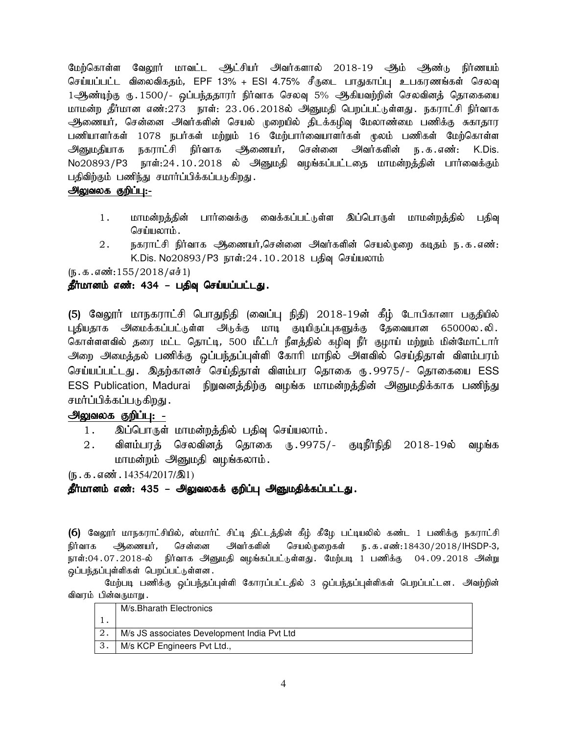மேற்கொள்ள வேலூர் மாவட்ட ஆட்சியர் அவர்களால் 2018-19 ஆம் ஆண்டு நிர்ணயம் செய்யப்பட்ட விலைவிகதம், EPF 13% + ESI 4.75% சீருடை பாதுகாப்பு உபகரணங்கள் செலவு 1ஆண்டிற்கு ரு. 1500/- ஒப்பந்ததாரர் நிர்வாக செலவு 5% ஆகியவற்றின் செலவினத் தொகையை மாமன்ற தீர்மான எண்:273 நாள்: 23.06.2018ல் அனுமதி பெறப்பட்டுள்ளது. நகராட்சி நிர்வாக ஆணையர், சென்னை அவர்களின் செயல் முறையில் திடக்கழிவு மேலாண்மை பணிக்கு சுகாதார பணியாளர்கள் 1078 நபர்கள் மற்றும் 16 மேற்பார்வையாளர்கள் மூலம் பணிகள் மேற்கொள்ள அனுமதியாக நகராட்சி நிர்வாக ஆணையர், சென்னை அவர்களின் ந.க.எண்: K.Dis. No20893/P3 நாள்:24.10.2018 ல் அனுமதி வழங்கப்பட்டதை மாமன்றத்தின் பார்வைக்கும் பதிவிற்கும் பணிந்து சமார்ப்பிக்கப்படுகிறது.

# அலுவலக குறிப்பு<u>:-</u>

- 1. மாமன்றத்தின் பார்வைக்கு வைக்கப்பட்டுள்ள இப்பொருள் மாமன்றத்தில் பதிவு செய்யலாம்.
- 2. நகராட்சி நிர்வாக அணையர்,சென்னை அவர்களின் செயல்முறை கடிதம் ந.க.எண்: K.Dis. No20893/P3 நாள்:24.10.2018 பதிவு செய்யலாம்

 $(\mathfrak{g.5.5600}:155/2018/\mathfrak{g} \dot{\mathfrak{s}}1)$ 

# தீர்மானம் எண்: 434 – பதிவு செய்யப்பட்டது.

(5) வேலூர் மாநகராட்சி பொதுநிதி (வைப்பு நிதி) 2018-19ன் கீழ் டோபிகானா பகுதியில் புதியதாக அமைக்கப்பட்டுள்ள அடுக்கு மாடி குடியிருப்புகளுக்கு தேவையான 65000ல.லி. கொள்ளளவில் தரை மட்ட தொட்டி, 500 மீட்டர் நீளத்தில் கழிவு நீர் குழாய் மற்றும் மின்மோட்டார் அறை அமைத்தல் பணிக்கு ஒப்பந்தப்புள்ளி கோரி மாநில் அளவில் செய்திதாள் விளம்பரம் செய்யப்பட்டது. இதற்கானச் செய்திதாள் விளம்பர தொகை ரு.9975/- தொகையை ESS ESS Publication, Madurai நிறுவனத்திற்கு வழங்க மாமன்றத்தின் அனுமதிக்காக பணிந்து சமர்ப்பிக்கப்படுகிறது .

# அலுவலக குறிப்பு: -

- 1. இப்பொருள் மாமன்றத்தில் பதிவு செய்யலாம்.
- $2.$  விளம்பரத் செலவினத் தொகை ரு. $9975/-$  குடிநீர்நிதி  $2018\text{-}19$ ல் வழங்க மாமன்றம் அனுமதி வழங்கலாம்.

 $(\mathfrak{h} \cdot \mathfrak{B} \cdot \mathfrak{a} \cdot \mathfrak{so} \mathfrak{m} \cdot 14354/2017/\mathfrak{B}1)$ 

# தீர்மானம் எண்: 435 – அலுவலகக் குறிப்பு அனுமதிக்கப்பட்டது.

(6) வேலூர் மாநகராட்சியில், ஸ்மார்ட் சிட்டி திட்டத்தின் கீழ் கீழே பட்டியலில் கண்ட 1 பணிக்கு நகராட்சி நிர்வாக ஆணையர், சென்னை அவர்களின் செயல்முறைகள் ந.க.எண்:18430/2018/IHSDP-3, நாள்:04 .07 . 2018-ல் நிர்வாக அனுமதி வழங்கப்பட்டுள்ளது .பேற்படி 1 பணிக்கு 04 . 09 . 2018 அன்று ஒப்பந்தப்புள்ளிகள் பெறப்பட்டுள்ளன.

மேற்படி பணிக்கு ஒப்பந்தப்புள்ளி கோரப்பட்டதில் 3 ஒப்பந்தப்புள்ளிகள் பெறப்பட்டன. அவற்றின் விவரம் பின்வருமாறு.

|    | M/s.Bharath Electronics                     |
|----|---------------------------------------------|
|    |                                             |
|    | M/s JS associates Development India Pvt Ltd |
| 3. | M/s KCP Engineers Pvt Ltd.,                 |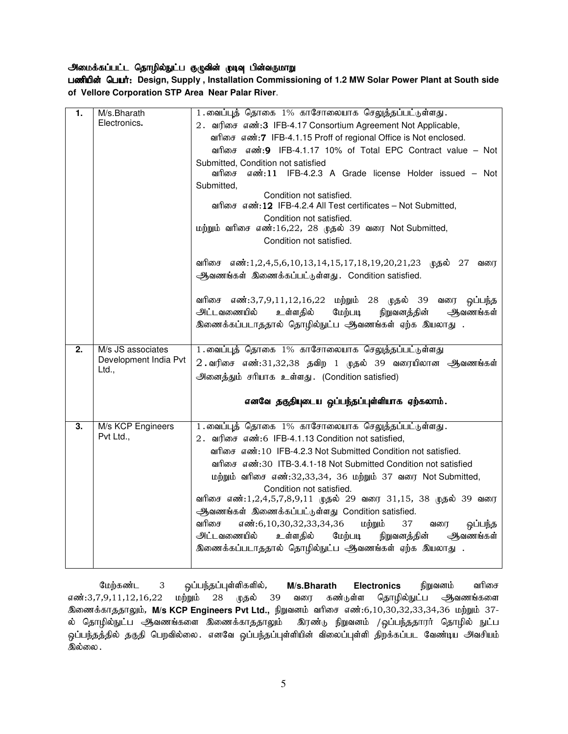#### அமைக்கப்பட்ட தொழில்நுட்ப குழுவின் முடிவு பின்வருமாறு

பணியின் பெயர்: Design, Supply, Installation Commissioning of 1.2 MW Solar Power Plant at South side **of Vellore Corporation STP Area Near Palar River**.

| 1. | M/s.Bharath                    | 1.வைப்புத் தொகை 1% காசோலையாக செலுத்தப்பட்டுள்ளது.                                                   |
|----|--------------------------------|-----------------------------------------------------------------------------------------------------|
|    | Electronics.                   |                                                                                                     |
|    |                                | 2. வரிசை எண்:3 IFB-4.17 Consortium Agreement Not Applicable,                                        |
|    |                                | வரிசை எண்: 7 IFB-4.1.15 Proff of regional Office is Not enclosed.                                   |
|    |                                | வரிசை எண்:9 IFB-4.1.17 10% of Total EPC Contract value – Not                                        |
|    |                                | Submitted, Condition not satisfied<br>எண்:11 IFB-4.2.3 A Grade license Holder issued - Not<br>வரிசை |
|    |                                | Submitted,                                                                                          |
|    |                                | Condition not satisfied.<br>வரிசை எண்: 12 IFB-4.2.4 All Test certificates - Not Submitted,          |
|    |                                | Condition not satisfied.                                                                            |
|    |                                | மற்றும் வரிசை எண்:16,22, 28 முதல் 39 வரை Not Submitted,                                             |
|    |                                | Condition not satisfied.                                                                            |
|    |                                | வரிசை எண்:1,2,4,5,6,10,13,14,15,17,18,19,20,21,23 முதல் 27<br>வரை                                   |
|    |                                | ஆவணங்கள் இணைக்கப்பட்டுள்ளது. Condition satisfied.                                                   |
|    |                                | வரிசை எண்:3,7,9,11,12,16,22 மற்றும் 28 முதல் 39 வரை<br>ஒப்பந்த                                      |
|    |                                | அட்டவணையில்<br>மேற்படி<br>நிறுவனத்தின்<br>ஆவணங்கள்<br>உள்ளதில்                                      |
|    |                                | இணைக்கப்படாததால் தொழில்நுட்ப ஆவணங்கள் ஏற்க இயலாது .                                                 |
|    |                                |                                                                                                     |
|    |                                |                                                                                                     |
| 2. | M/s JS associates              | 1.வைப்புத் தொகை 1% காசோலையாக செலுத்தப்பட்டுள்ளது                                                    |
|    | Development India Pvt<br>Ltd., | $2$ வரிசை எண்:31,32,38 தவிற 1 முதல் 39 வரையிலான ஆவணங்கள்                                            |
|    |                                | அனைத்தும் சரியாக உள்ளது. (Condition satisfied)                                                      |
|    |                                | எனவே தகுதியுடைய ஒப்பந்தப்புள்ளியாக ஏற்கலாம்.                                                        |
| 3. |                                |                                                                                                     |
|    | M/s KCP Engineers<br>Pvt Ltd., | 1. வைப்புத் தொகை 1% காசோலையாக செலுத்தப்பட்டுள்ளது.                                                  |
|    |                                | 2. வரிசை எண்:6 IFB-4.1.13 Condition not satisfied,                                                  |
|    |                                | வரிசை எண்: 10 IFB-4.2.3 Not Submitted Condition not satisfied.                                      |
|    |                                | வரிசை எண்:30 ITB-3.4.1-18 Not Submitted Condition not satisfied                                     |
|    |                                | மற்றும் வரிசை எண்:32,33,34, 36 மற்றும் 37 வரை Not Submitted,                                        |
|    |                                | Condition not satisfied.                                                                            |
|    |                                | வரிசை எண்:1,2,4,5,7,8,9,11 முதல் 29 வரை 31,15, 38 முதல் 39 வரை                                      |
|    |                                | ஆவணங்கள் இணைக்கப்பட்டுள்ளது Condition satisfied.                                                    |
|    |                                | வரிசை<br>எண்:6,10,30,32,33,34,36<br>மற்றும்<br>ஒப்பந்த<br>37<br>வரை                                 |
|    |                                | அட்டவணையில்<br>உள்ளதில்<br>மேற்படி<br>ஆவணங்கள்<br>நிறுவனத்தின்                                      |
|    |                                | இணைக்கப்படாததால் தொழில்நுட்ப ஆவணங்கள் ஏற்க இயலாது .                                                 |

மேற்கண்ட 3 ஒப்பந்தப்புள்ளிகளில், M/s.Bharath Electronics நிறுவனம் வரிசை எண்:3,7,9,11,12,16,22 மற்றும் 28 முதல் 39 வரை கண்டுள்ள தொழில்நுட்ப ஆவணங்களை இணைக்காததாலும், M/s KCP Engineers Pvt Ltd., நிறுவனம் வரிசை எண்:6,10,30,32,33,34,36 மற்றும் 37-ல் தொழில்நுட்ப ஆவணங்களை இணைக்காததாலும் இரண்டு நிறுவனம் /ஒப்பந்ததாரர் தொழில் நுட்ப ஒப்பந்தத்தில் தகுதி பெறவில்லை. எனவே ஒப்பந்தப்புள்ளியின் விலைப்புள்ளி திறக்கப்பட வேண்டிய அவசியம் இல்லை .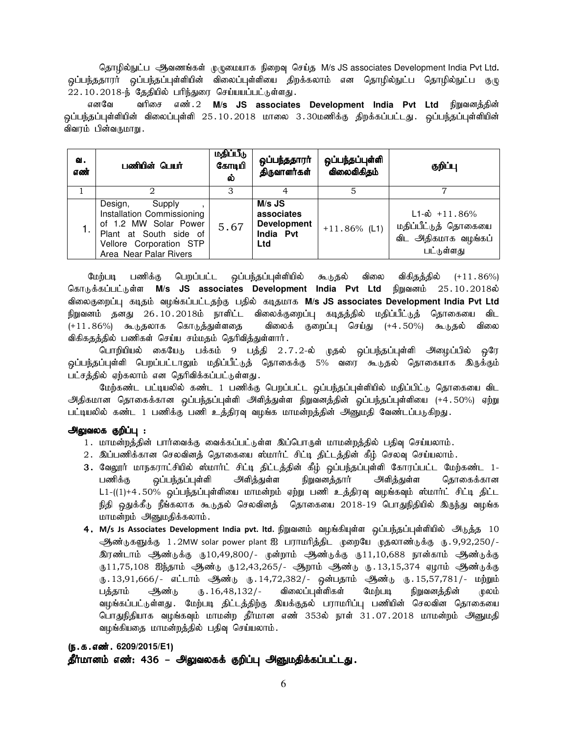தொழில்நுட்ப <del>ஆ</del>வணங்கள் முழுமையாக நிறைவு செய்த M/s JS associates Development India Pvt Ltd. ஒப்பந்ததாரா் ஒப்பந்தப்புள்ளியின் விலைப்புள்ளியை திறக்கலாம் என தொழில்நுட்ப தொழில்நுட்ப குழு  $22.10.2018$ -ந் தேதியில் பரிந்துரை செய்யயப்பட்டுள்ளது.

எனவே வரிசை எண்.2 M/s JS associates Development India Pvt Ltd நிறுவனத்தின் ஒப்பந்தப்புள்ளியின் விலைப்புள்ளி 25.10.2018 மாலை 3.30மணிக்கு திறக்கப்பட்டது. ஒப்பந்தப்புள்ளியின் விவரம் பின்வருமாறு.

| ഖ.<br>எண் | பணியின் பெயர்                                                                                                                                           | மதிப்பீடு<br>கோடியி<br>ல் | ஒப்பந்ததாரா்<br>திருவாளர்கள்                                     | ஒப்பந்தப்புள்ளி<br>விலைவிகிதம் | குறிப்பு                                                                                |  |  |
|-----------|---------------------------------------------------------------------------------------------------------------------------------------------------------|---------------------------|------------------------------------------------------------------|--------------------------------|-----------------------------------------------------------------------------------------|--|--|
|           |                                                                                                                                                         |                           |                                                                  |                                |                                                                                         |  |  |
|           | Design,<br>Supply<br>Installation Commissioning<br>of 1.2 MW Solar Power<br>Plant at South side of<br>Vellore Corporation STP<br>Area Near Palar Rivers | 5.67                      | $M/s$ JS<br>associates<br><b>Development</b><br>India Pvt<br>Ltd | $+11.86\%$ (L1)                | $L1-\dot{\omega}$ + 11.86%<br>மதிப்பீட்டுத் தொகையை<br>விட அதிகமாக வழங்கப்<br>பட்டுள்ளது |  |  |

மேற்படி பணிக்கு பெறப்பட்ட ஒப்பந்தப்புள்ளியில் கூடுதல் விலை விகிதத்தில் (+11.86%) கொடுக்கப்பட்டுள்ள M/s JS associates Development India Pvt Ltd நிறுவனம் 25.10.2018ல் tpiyFiwg;g[ fojk; tHA;fg;gl;ljw;F gjpy; fojkhf **M/s JS associates Development India Pvt Ltd** நிறுவனம் தனது 26.10.2018ம் நாளிட்ட விலைக்குறைப்பு கடிதத்தில் மதிப்பீட்டுத் தொகையை விட (+11.86%) கூடுதலாக கொடுத்துள்ளதை விலைக் குறைப்பு செய்து (+4.50%) கூடுதல் விலை விகிகதத்தில் பணிகள் செய்ய சம்மதம் தெரிவித்துள்ளார்.

பொறியியல் கையேடு பக்கம் 9 பத்தி 2.7.2-ல் முதல் ஒப்பந்தப்புள்ளி அழைப்பில் ஒரே ஒப்பந்தப்புள்ளி பெறப்பட்டாலும் மதிப்பீட்டுத் தொகைக்கு 5% வரை கூடுதல் தொகையாக இருக்கும் பட்சத்தில் ஏற்கலாம் என தெரிவிக்கப்பட்டுள்ளது.

மேற்கண்ட பட்டியலில் கண்ட 1 பணிக்கு பெறப்பட்ட ஒப்பந்தப்புள்ளியில் மதிப்பிட்டு தொகையை விட அதிகமான தொகைக்கான ஒப்பந்தப்புள்ளி அளித்துள்ள நிறுவனத்தின் ஓப்பந்தப்புள்ளியை (+4.50%) ஏற்று பட்டியலில் கண்ட 1 பணிக்கு பணி உத்திரவு வழங்க மாமன்றத்தின் அனுமதி வேண்டப்படுகிறது.

#### அலுவலக குறிப்பு :

- 1. மாமன்றத்தின் பார்வைக்கு வைக்கப்பட்டுள்ள இப்பொருள் மாமன்றத்தில் பதிவு செய்யலாம்.
- 2. இப்பணிக்கான செலவினத் தொகையை ஸ்மார்ட் சிட்டி திட்டத்தின் கீழ் செலவு செய்யலாம்.
- 3. வேலூர் மாநகராட்சியில் ஸ்மார்ட் சிட்டி திட்டத்தின் கீழ் ஒப்பந்தப்புள்ளி கோரப்பட்ட மேற்கண்ட 1-பணிக்கு ஒப்பந்தப்புள்ளி அளித்துள்ள நிறுவனத்தார் அளித்துள்ள தொகைக்கான  $L1-((1)+4.50\%$  ஒப்பந்தப்புள்ளியை மாமன்றம் ஏற்று பணி உத்திரவு வழங்கவும் ஸ்மார்ட் சிட்டி திட்ட நிதி ஒதுக்கீடு நீங்கலாக கூடுதல் செலவினத் தொகையை 2018-19 பொதுநிதியில் இருந்து வழங்க மாமன்றம் அனுமதிக்கலாம்.
- 4.M/s Js Associates Development India pvt. ltd. நிறுவனம் வழங்கியுள்ள ஒப்பந்தப்புள்ளியில் அடுத்த 10 ஆண்டுகளுக்கு 1.2MW solar power plant ஐ பராமரித்திட முறையே முதலாண்டுக்கு ரு.9,92,250/-<u>இரண்டாம் ஆண்டுக்கு ரு10,49,800/- முன்றாம் ஆண்டுக்கு ரு11,10,688 நான்காம் ஆண்டுக்கு</u> ரு11,75,108 ஐந்தாம் அண்டு ரு12,43,265/- ஆறாம் ஆண்டு ரு.13,15,374 ஏழாம் ஆண்டுக்கு ரு.13,91,666/- எட்டாம் ஆண்டு ரு.14,72,382/- ஒன்பதாம் ஆண்டு ரு.15,57,781/- மற்றும் பத்தாம் ஆண்டு ரு. 16,48,132/- விலைப்புள்ளிகள் மேற்படி நிறுவனத்தின் முலம் வழங்கப்பட்டுள்ளது . மேற்படி திட்டத்திற்கு இயக்குதல் பராமரிப்பு பணியின் செலவின தொகையை பொதுநிதியாக வழங்கவும் மாமன்ற தீர்மான எண் 353ல் நாள் 31.07.2018 மாமன்றம் அனுமதி வழங்கியதை மாமன்றத்தில் பதிவு செய்யலாம்.

# (ந.க.எண். 6209/2015/E1)

தீர்மானம் எண்: 436 – அலுவலகக் குறிப்பு அனுமதிக்கப்பட்டது.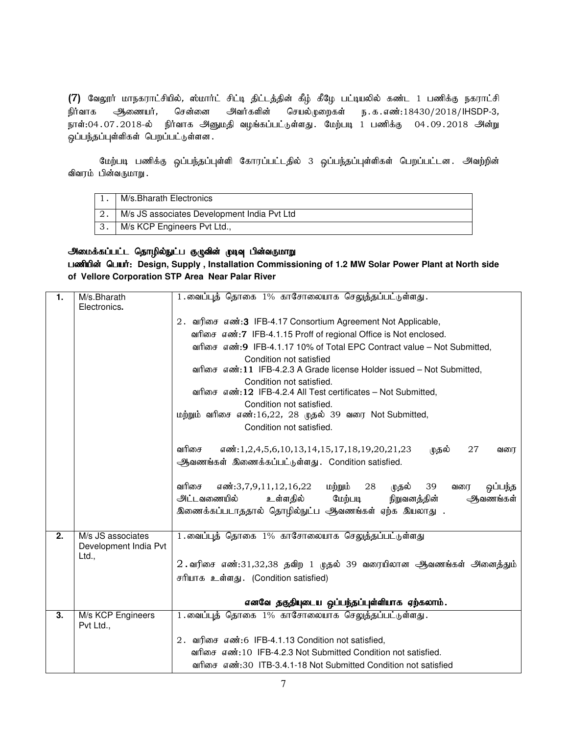(7) வேலூர் மாநகராட்சியில், ஸ்மார்ட் சிட்டி திட்டத்தின் கீழ் கீழே பட்டியலில் கண்ட 1 பணிக்கு நகராட்சி நிர்வாக ஆணையர், சென்னை அவர்களின் செயல்முறைகள் ந.க.எண்:18430/2018/IHSDP-3, நாள்:04.07.2018-ல் நிர்வாக அனுமதி வழங்கப்பட்டுள்ளது. மேற்படி 1 பணிக்கு 04.09.2018 அன்று ஒப்பந்தப்புள்ளிகள் பெறப்பட்டுள்ளன.

மேற்படி பணிக்கு ஒப்பந்தப்புள்ளி கோரப்பட்டதில் 3 ஒப்பந்தப்புள்ளிகள் பெறப்பட்டன. அவற்றின் விவரம் பின்வருமாறு.

| M/s.Bharath Electronics                     |
|---------------------------------------------|
| M/s JS associates Development India Pvt Ltd |
| M/s KCP Engineers Pvt Ltd.,                 |

#### அமைக்கப்பட்ட தொழில்நுட்ப குழுவின் முடிவு பின்வருமாறு

பணியின் பெயர்: Design, Supply, Installation Commissioning of 1.2 MW Solar Power Plant at North side **of Vellore Corporation STP Area Near Palar River**

| 1.               | M/s.Bharath<br>Electronics.                | 1.வைப்புத் தொகை 1% காசோலையாக செலுத்தப்பட்டுள்ளது.                                                                                                                                                         |
|------------------|--------------------------------------------|-----------------------------------------------------------------------------------------------------------------------------------------------------------------------------------------------------------|
|                  |                                            | 2. வரிசை எண்:3 IFB-4.17 Consortium Agreement Not Applicable,                                                                                                                                              |
|                  |                                            | வரிசை எண்:7 IFB-4.1.15 Proff of regional Office is Not enclosed.                                                                                                                                          |
|                  |                                            | வரிசை எண்:9 IFB-4.1.17 10% of Total EPC Contract value – Not Submitted,                                                                                                                                   |
|                  |                                            | Condition not satisfied<br>வரிசை எண்:11 IFB-4.2.3 A Grade license Holder issued – Not Submitted,<br>Condition not satisfied.                                                                              |
|                  |                                            | வரிசை எண்: 12 IFB-4.2.4 All Test certificates – Not Submitted,                                                                                                                                            |
|                  |                                            | Condition not satisfied.                                                                                                                                                                                  |
|                  |                                            | மற்றும் வரிசை எண்:16,22, 28 முதல் 39 வரை Not Submitted,                                                                                                                                                   |
|                  |                                            | Condition not satisfied.                                                                                                                                                                                  |
|                  |                                            | வரிசை<br>27<br>எண்:1,2,4,5,6,10,13,14,15,17,18,19,20,21,23<br>முதல்<br>வரை<br>ஆவணங்கள் இணைக்கப்பட்டுள்ளது. Condition satisfied.                                                                           |
|                  |                                            |                                                                                                                                                                                                           |
|                  |                                            | வரிசை<br>மற்றும்<br>எண்:3,7,9,11,12,16,22<br>28<br>முதல்<br>39<br>ஒப்பந்த<br>வரை<br>அட்டவணையில்<br>உள்ளதில்<br>மேற்படி<br>நிறுவனத்தின்<br>ஆவணங்கள்<br>இணைக்கப்படாததால் தொழில்நுட்ப ஆவணங்கள் ஏற்க இயலாது . |
|                  |                                            |                                                                                                                                                                                                           |
| $\overline{2}$ . | M/s JS associates<br>Development India Pvt | 1.வைப்புத் தொகை 1% காசோலையாக செலுத்தப்பட்டுள்ளது                                                                                                                                                          |
|                  | Ltd.,                                      | $2$ வரிசை எண்:31,32,38 தவிற 1 முதல் 39 வரையிலான ஆவணங்கள் அனைத்தும்                                                                                                                                        |
|                  |                                            | சரியாக உள்ளது. (Condition satisfied)                                                                                                                                                                      |
|                  |                                            |                                                                                                                                                                                                           |
|                  |                                            | எனவே தகுதியுடைய ஒப்பந்தப்புள்ளியாக ஏற்கலாம்.                                                                                                                                                              |
| $\overline{3}$ . | M/s KCP Engineers<br>Pvt Ltd.,             | 1. வைப்புத் தொகை 1% காசோலையாக செலுத்தப்பட்டுள்ளது.                                                                                                                                                        |
|                  |                                            | 2. வரிசை எண்:6 IFB-4.1.13 Condition not satisfied,                                                                                                                                                        |
|                  |                                            | வரிசை எண்: 10 IFB-4.2.3 Not Submitted Condition not satisfied.                                                                                                                                            |
|                  |                                            | வரிசை எண்:30 ITB-3.4.1-18 Not Submitted Condition not satisfied                                                                                                                                           |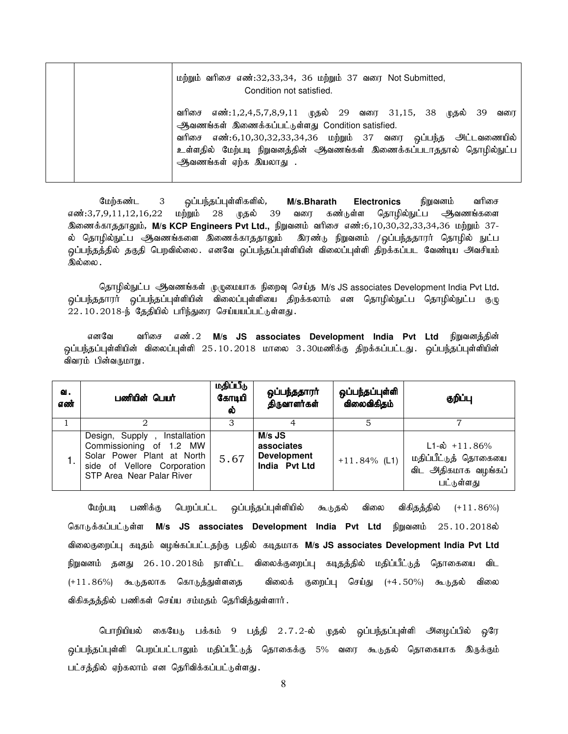|  |                         |  | Condition not satisfied.                         |  | மற்றும் வரிசை எண்:32,33,34, 36 மற்றும் 37 வரை Not Submitted,        |  |     |
|--|-------------------------|--|--------------------------------------------------|--|---------------------------------------------------------------------|--|-----|
|  |                         |  | ஆவணங்கள் இணைக்கப்பட்டுள்ளது Condition satisfied. |  | வரிசை எண்:1,2,4,5,7,8,9,11 முதல் 29 வரை 31,15, 38 முதல் 39          |  | வரை |
|  |                         |  |                                                  |  | வரிசை எண்:6,10,30,32,33,34,36 மற்றும் 37 வரை ஒப்பந்த அட்டவணையில்    |  |     |
|  |                         |  |                                                  |  | உள்ளதில் மேற்படி நிறுவனத்தின் ஆவணங்கள் இணைக்கப்படாததால் தொழில்நுட்ப |  |     |
|  | ஆிவணங்கள் ஏற்க இயலாது . |  |                                                  |  |                                                                     |  |     |

மேற்கண்ட 3 ஒப்பந்தப்புள்ளிகளில், **M/s.Bharath Electronics** நிறுவனம் வரிசை எண்:3,7,9,11,12,16,22 மற்றும் 28 முதல் 39 வரை கண்டுள்ள தொழில்நுட்ப ஆவணங்களை <u>இ</u>ணைக்காததாலும், M/s KCP Engineers Pvt Ltd., நிறுவனம் வரிசை எண்:6,10,30,32,33,34,36 மற்றும் 37-ல் தொழில்நுட்ப ஆவணங்களை இணைக்காததாலும் இரண்டு நிறுவனம் /ஒப்பந்ததாரர் தொழில் நுட்ப ஒப்பந்தத்தில் தகுதி பெறவில்லை. எனவே ஒப்பந்தப்புள்ளியின் விலைப்புள்ளி திறக்கப்பட வேண்டிய அவசியம் இல்லை .

தொழில்நுட்ப ஆவணங்கள் முழுமையாக நிறைவு செய்த M/s JS associates Development India Pvt Ltd. .<br>ஒப்பந்ததாரர் ஒப்பந்தப்புள்ளியின் விலைப்புள்ளியை திறக்கலாம் என தொழில்நுட்ப தொழில்நுட்ப குழு  $22.10.2018$ -ந் தேதியில் பரிந்துரை செய்யயப்பட்டுள்ளது.

எனவே வரிசை எண்.2 M/s JS associates Development India Pvt Ltd நிறுவனத்தின் <u>ஒ</u>ப்பந்தப்புள்ளியின் விலைப்புள்ளி 25.10.2018 மாலை 3.30மணிக்கு திறக்கப்பட்டது. ஒப்பந்தப்புள்ளியின் விவரம் பின்வருமாறு.

| ഖ.<br>எண் | பணியின் பெயர்                                                                                                                                        | மதிப்பீடு<br>கோடியி<br>ல் | ஒப்பந்ததாரா்<br>திருவாளர்கள்                                | ஒப்பந்தப்புள்ளி<br>விலைவிகிதம் | குறிப்பு                                                                               |
|-----------|------------------------------------------------------------------------------------------------------------------------------------------------------|---------------------------|-------------------------------------------------------------|--------------------------------|----------------------------------------------------------------------------------------|
|           |                                                                                                                                                      | З                         |                                                             |                                |                                                                                        |
|           | Design, Supply,<br>Installation<br>Commissioning of 1.2 MW<br>Solar Power Plant at North<br>side of Vellore Corporation<br>STP Area Near Palar River | 5.67                      | M/s JS<br>associates<br><b>Development</b><br>India Pvt Ltd | $+11.84\%$ (L1)                | $L1-\dot{\omega}$ +11.86%<br>மதிப்பீட்டுத் தொகையை<br>விட அதிகமாக வழங்கப்<br>பட்டுள்ளது |

மேற்படி பணிக்கு பெறப்பட்ட ஒப்பந்தப்புள்ளியில் கூடுதல் விலை விகிதத்தில் (+11.86%) கொடுக்கப்பட்டுள்ள M/s JS associates Development India Pvt Ltd நிறுவனம் 25.10.2018ல் tpiyFiwg;g[ fojk; tHA;fg;gl;ljw;F gjpy; fojkhf **M/s JS associates Development India Pvt Ltd** நிறுவனம் தனது 26.10.2018ம் நாளிட்ட விலைக்குறைப்பு கடிதத்தில் மதிப்பீட்டுத் தொகையை விட (+11.86%) கூடுதலாக கொடுத்துள்ளதை விலைக் குறைப்பு செய்து (+4.50%) கூடுதல் விலை விகிகதத்தில் பணிகள் செய்ய சம்மதம் தெரிவித்துள்ளார்.

பொறியியல் கையேடு பக்கம் 9 பத்தி 2.7.2-ல் முதல் ஒப்பந்தப்புள்ளி அழைப்பில் ஒரே ஒப்பந்தப்புள்ளி பெறப்பட்டாலும் மதிப்பீட்டுத் தொகைக்கு 5% வரை கூடுதல் தொகையாக இருக்கும் பட்சத்தில் ஏற்கலாம் என தெரிவிக்கப்பட்டுள்ளது.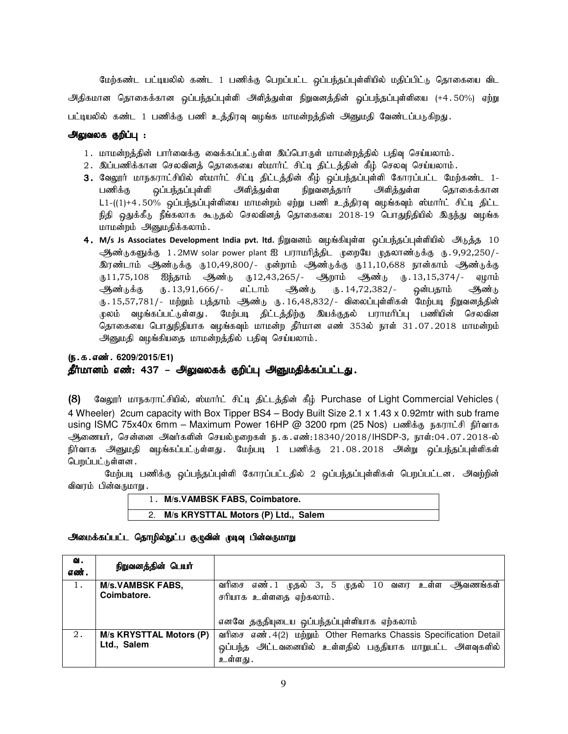மேற்கண்ட பட்டியலில் கண்ட 1 பணிக்கு பெறப்பட்ட <u>ஒ</u>ப்பந்தப்புள்ளியில் மதிப்பிட்டு தொகையை விட அதிகமான தொகைக்கான ஒப்பந்தப்புள்ளி அளிக்துள்ள நிறுவனக்தின் ஒப்பந்தப்புள்ளியை (+4.50%) ஏற்று பட்டியலில் கண்ட 1 பணிக்கு பணி உத்திரவு வழங்க மாமன்றத்தின் அனுமதி வேண்டப்படுகிறது.

#### அலுவலக குறிப்பு :

- 1. மாமன்றத்தின் பார்வைக்கு வைக்கப்பட்டுள்ள இப்பொருள் மாமன்றத்தில் பதிவு செய்யலாம்.
- 2. இப்பணிக்கான செலவினத் தொகையை ஸ்மார்ட் சிட்டி திட்டத்தின் கீழ் செலவு செய்யலாம்.
- 3. வேலூர் மாநகராட்சியில் ஸ்மார்ட் சிட்டி திட்டத்தின் கீழ் ஒப்பந்தப்புள்ளி கோரப்பட்ட மேற்கண்ட 1-பணிக்கு ஒப்பந்தப்புள்ளி அளித்துள்ள நிறுவனத்தார் அளித்துள்ள நொகைக்கான  $L1-((1)+4.50%$  ஒப்பந்தப்புள்ளியை மாமன்றம் ஏற்று பணி உத்திரவு வழங்கவும் ஸ்மாா்ட் சிட்டி திட்ட நிதி ஒதுக்கீடு நீங்கலாக கூடுதல் செலவினத் தொகையை 2018-19 பொதுநிதியில் இருந்து வழங்க மாமன்றம் அனுமதிக்கலாம்.
- 4.M/s Js Associates Development India pvt. ltd. நிறுவனம் வழங்கியுள்ள ஒப்பந்தப்புள்ளியில் அடுத்த 10 ஆண்டுகளுக்கு 1.2MW solar power plant ஐ பராமரித்திட முறையே முதலாண்டுக்கு ரு.9,92,250/-<u>இரண்டாம் ஆண்டுக்கு ரு10,49,800/- முன்றாம் ஆண்டுக்கு ரு11,10,688 நான்காம் ஆண்டுக்கு</u> ரு11,75,108 ஐந்தாம் ஆண்டு ந12,43,265/- ஆறாம் ஆண்டு ந.13,15,374/- ஏழாம் ஆண்டுக்கு ரு.13,91,666/- எட்டாம் ஆண்டு ரு.14,72,382/- ஒன்பதாம் ஆண்டு ரு. 15,57,781/- மற்றும் பத்தாம் ஆண்டு ரு. 16,48,832/- விலைப்புள்ளிகள் மேற்படி நிறுவனத்தின் முலம் வழங்கப்பட்டுள்ளது. மேற்படி திட்டத்திற்கு இயக்குதல் பராமரிப்பு பணியின் செலவின தொகையை பொதுநிதியாக வழங்கவும் மாமன்ற தீர்மான எண் 353ல் நாள் 31.07.2018 மாமன்றம் அனுமதி வழங்கியதை மாமன்றத்தில் பதிவு செய்யலாம்.

## (ந.க.எண். 6209/2015/E1) தீர்மானம் எண்: 437 – அலுவலகக் குறிப்பு அனுமதிக்கப்பட்டது.

(8) மேலூர் மாநகராட்சியில், ஸ்மார்ட் சிட்டி திட்டத்தின் கீழ் Purchase of Light Commercial Vehicles ( 4 Wheeler) 2cum capacity with Box Tipper BS4 – Body Built Size 2.1 x 1.43 x 0.92mtr with sub frame using ISMC 75x40x 6mm – Maximum Power 16HP @ 3200 rpm (25 Nos) பணிக்கு நகராட்சி நிர்வாக ஆணையர், சென்னை அவர்களின் செயல்முறைகள் ந.க.எண்:18340/2018/IHSDP-3, நாள்:04.07.2018-ல் நிர்வாக அனுமதி வழங்கப்பட்டுள்ளது. மேற்படி 1 பணிக்கு 21.08.2018 அன்று ஒப்பந்தப்புள்ளிகள் பெறப்பட்டுள்ளன .

மேற்படி பணிக்கு ஒப்பந்தப்புள்ளி கோரப்பட்டதில் 2 ஒப்பந்தப்புள்ளிகள் பெறப்பட்டன. அவற்றின் விவரம் பின்வருமாறு.

| 1. M/s.VAMBSK FABS, Coimbatore.     |
|-------------------------------------|
| M/s KRYSTTAL Motors (P) Ltd., Salem |

#### அமைக்கப்பட்ட தொழில்நுட்ப குழுவின் முடிவு பின்வருமாறு

| ഖ.<br>எண். | நிறுவன <u>த்</u> தின் பெயர்                   |                                                                                                                                            |
|------------|-----------------------------------------------|--------------------------------------------------------------------------------------------------------------------------------------------|
| 1.         | <b>M/s.VAMBSK FABS,</b>                       | வரிசை எண்.1<br>மு <b>தல்</b> 3, 5 முதல் 10<br>உள்ள அவணங்கள்<br>வரை                                                                         |
|            | Coimbatore.                                   | சரியாக உள்ளதை ஏற்கலாம்.<br>எனவே தகுதியுடைய ஒப்பந்தப்புள்ளியாக ஏற்கலாம்                                                                     |
| 2.         | <b>M/s KRYSTTAL Motors (P)</b><br>Ltd., Salem | வரிசை எண். 4(2) மற்றும் Other Remarks Chassis Specification Detail<br>ஒப்பந்த அட்டவனையில் உள்ளதில் பகுதியாக மாறுபட்ட அளவுகளில்<br>உள்ளது . |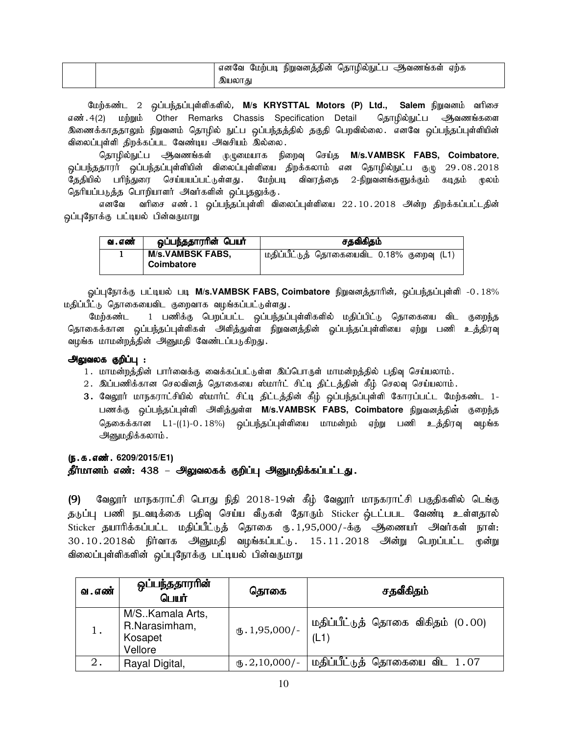| ஆவணங்கள்<br>எனவே<br>நிறுவனத்தின்<br>மேற்படி<br>ஏற்க<br>தொழில்நுட்ட |
|--------------------------------------------------------------------|
| া∪∟ে<br>இயலா                                                       |

மேற்கண்ட 2 ஓப்பந்தப்புள்ளிகளில், M/s KRYSTTAL Motors (P) Ltd., Salem நிறுவனம் வரிசை எண். 4(2) மற்றும் Other Remarks Chassis Specification Detail தொழில்நுட்ப ஆவணங்களை இணைக்காததாலும் நிறுவனம் தொழில் நுட்ப ஒப்பந்தத்தில் தகுதி பெறவில்லை. எனவே ஒப்பந்தப்புள்ளியின் விலைப்புள்ளி திறக்கப்பட வேண்டிய அவசியம் இல்லை.

தொழில்நுட்ப ஆவணங்கள் முழுமையாக நிறைவு செய்த M/s.VAMBSK FABS, Coimbatore. <u>ஒப்பந்ததாரர் ஒப்பந்தப்பு</u>ள்ளியின் விலைப்புள்ளியை திறக்கலாம் என தொழில்நுட்ப குழு 29 $.08.2018$ தேதியில் பரிந்துரை செய்யயப்பட்டுள்ளது. மேற்படி விவரத்தை 2-நிறுவனங்களுக்கும் கடிதம் முலம் தெரியப்படுத்த பொறியாளர் அவர்களின் ஒப்புதலுக்கு.

எனவே வரிசை எண். 1 ஒப்பந்தப்புள்ளி விலைப்புள்ளியை 22.10.2018 அன்ற திறக்கப்பட்டதின் ஒப்புநோக்கு பட்டியல் பின்வருமாறு

| வ . எண் | ஒப்பந்ததாரரின் பெயர்    | சதவிகிதம்                                   |  |  |
|---------|-------------------------|---------------------------------------------|--|--|
|         | <b>M/s.VAMBSK FABS,</b> | , மதிப்பீட்டுத் தொகையைவிட 0.18% குறைவு (L1) |  |  |
|         | Coimbatore              |                                             |  |  |

ஒப்புநோக்கு பட்டியல் படி M/s.VAMBSK FABS, Coimbatore நிறுவனத்தாரின், ஒப்பந்தப்புள்ளி -0.18% மதிப்பீட்டு தொகையைவிட குறைவாக வழங்கப்பட்டுள்ளது.

மேற்கண்ட 1 பணிக்கு பெறப்பட்ட ஒப்பந்தப்புள்ளிகளில் மதிப்பிட்டு தொகையை விட குறைந்த தொகைக்கான ஒப்பந்தப்புள்ளிகள் அளித்துள்ள நிறுவனத்தின் ஓப்பந்தப்புள்ளியை ஏற்று பணி உத்திரவு வழங்க மாமன்றத்தின் அனுமதி வேண்டப்படுகிறது.

#### <u>அலுவலக</u> குறிப்பு :

- 1. மாமன்றத்தின் பார்வைக்கு வைக்கப்பட்டுள்ள இப்பொருள் மாமன்றத்தில் பதிவு செய்யலாம்.
- 2. இப்பணிக்கான செலவினத் தொகையை ஸ்மார்ட் சிட்டி திட்டத்தின் கீழ் செலவு செய்யலாம்.
- 3. வேலூர் மாநகராட்சியில் ஸ்மார்ட் சிட்டி திட்டத்தின் கீழ் ஒப்பந்தப்புள்ளி கோரப்பட்ட மேற்கண்ட 1-பணக்கு ஒப்பந்தப்புள்ளி அளித்துள்ள M/s.VAMBSK FABS, Coimbatore நிறுவனத்தின் குறைந்த தெகைக்கான L1-((1)-0.18%) ஒப்பந்தப்புள்ளியை மாமன்றம் ஏற்று பணி உத்திரவு வழங்க அனுமதிக்கலாம்.

# (ந.க.எண். 6209/2015/E1) தீர்மானம் எண்: 438 – அலுவலகக் குறிப்பு அனுமதிக்கப்பட்டது.

(9) வேலூர் மாநகராட்சி பொது நிதி 2018-19ன் கீழ் வேலூர் மாநகராட்சி பகுதிகளில் டெங்கு தடுப்பு பணி நடவடிக்கை பதிவு செய்ய வீடுகள் தோரும் Sticker ஒ்டட்பபட வேண்டி உள்ளதால் Sticker தயாரிக்கப்பட்ட மதிப்பீட்டுத் தொகை ரு. 1,95,000/-க்கு ஆணையர் அவர்கள் நாள்: 30.10.2018ல் நிர்வாக அீனுமதி வழங்கப்பட்டு. 15.11.2018 அன்று பெறப்பட்ட முன்று விலைப்புள்ளிகளின் ஒப்புநோக்கு பட்டியல் பின்வருமாறு

| வ . எண் | ஒப்பந்ததாரரின்<br>பெயர்                                  | தொகை                      | சதவீகிதம்                                                    |  |
|---------|----------------------------------------------------------|---------------------------|--------------------------------------------------------------|--|
|         | M/S. Kamala Arts,<br>R.Narasimham,<br>Kosapet<br>Vellore | $\mathbb{L}$ . 1,95,000/- | மதிப்பீட்டுத் தொகை விகிதம் (0.00)<br>(L1)                    |  |
| 2.      | Rayal Digital,                                           |                           | $\overline{u_0, 2,10,000/-}$ மதிப்பீட்டுத் தொகையை விட $1.07$ |  |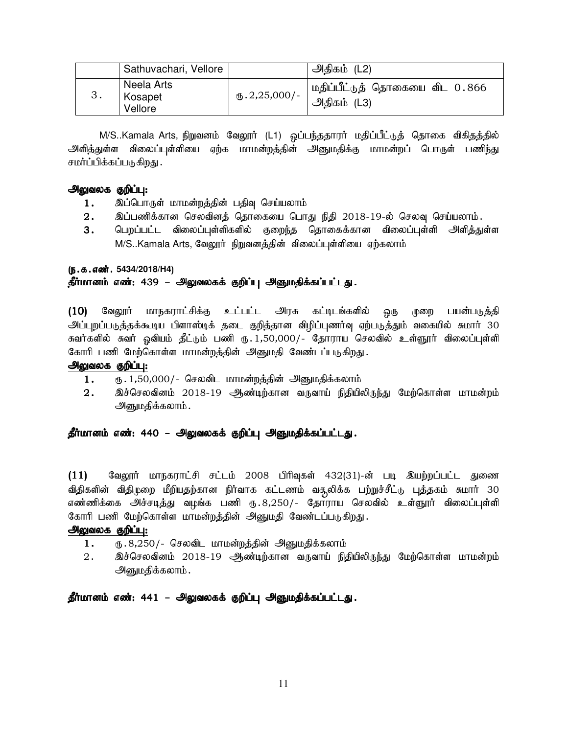| Sathuvachari, Vellore            |                         | அதிகம் (L2)                                   |
|----------------------------------|-------------------------|-----------------------------------------------|
| Neela Arts<br>Kosapet<br>Vellore | $\text{I}5.2,25,000$ /- | மதிப்பீட்டுத் தொகையை விட 0.866<br>அதிகம் (L3) |

M/S..Kamala Arts, நிறுவனம் வேலூர் (L1) ஒப்பந்ததாரர் மதிப்பீட்டுத் தொகை விகிதத்தில் அளித்துள்ள விலைப்புள்ளியை ஏற்க மாமன்றத்தின் அனுமதிக்கு மாமன்றப் பொருள் பணி<u>ந்து</u> சமர்ப்பிக்கப்படுகிறது .

#### அலுவலக குறிப்பு:

- 1. இப்பொருள் மாமன்றத்தின் பதிவு செய்யலாம்
- $2.$   $\;$  இப்பணிக்கான செலவினத் தொகையை பொது நிதி  $2018$ -19-ல் செலவு செய்யலாம்.
- 3. பெறப்பட்ட விலைப்புள்ளிகளில் குறைந்த தொகைக்கான விலைப்புள்ளி அளித்துள்ள M/S..Kamala Arts, வேலூர் நிறுவனத்தின் விலைப்புள்ளியை ஏற்கலாம்

#### (ந.க.எண். 5434/2018/H4)

#### தீர்மானம் எண்: 439 – அலுவலகக் குறிப்பு அனுமதிக்கப்பட்டது.

(10) வேலூர் மாநகராட்சிக்கு உட்பட்ட அரசு கட்டிடங்களில் ஒரு முறை பயன்படுத்தி அப்புறப்படுத்தக்கூடிய பிளாஸ்டிக் தடை குறித்தான விழிப்புணர்வு ஏற்படுத்தும் வகையில் சுமார் 30 சுவர்களில் சுவர் ஒவியம் தீட்டும் பணி ரு.1,50,000/- தோராய செலவில் உள்ளூர் விலைப்புள்ளி கோரி பணி மேற்கொள்ள மாமன்றத்தின் அனுமதி வேண்டப்படுகிறது.

#### அலுவலக குறிப்பு:

- 1. ரு. 1,50,000/- செலவிட மாமன்றத்தின் அனுமதிக்கலாம்
- 2. இச்செலவினம் 2018-19 ஆண்டிற்கான வருவாய் நிதியிலிருந்து மேற்கொள்ள மாமன்றம் அனுமதிக்கலாம்.

#### தீர்மானம் எண்: 440 – அலுவலகக் குறிப்பு அனுமதிக்கப்பட்டது.

 $(11)$  கேலூர் மாநகராட்சி சட்டம் 2008 பிரிவுகள் 432(31)-ன் படி இயற்றப்பட்ட துணை விதிகளின் விதிமுறை மீறியதற்கான நிர்வாக கட்டணம் வசூலிக்க பற்றுச்சீட்டு புத்தகம் சுமார் 30 எண்ணிக்கை அச்சடித்து வழங்க பணி ரு.8,250/- தோராய செலவில் உள்ளூரர் விலைப்புள்ளி கோரி பணி மேற்கொள்ள மாமன்றத்தின் அனுமதி வேண்டப்படுகிறது.

#### அலுவலக குறிப்பு:

- 1. ரு.8,250/- செலவிட மாமன்றத்தின் அனுமதிக்கலாம்
- 2. இச்செலவினம் 2018-19 ஆண்டிற்கான வருவாய் நிதியிலிருந்து மேற்கொள்ள மாமன்றம் அனுமதிக்கலாம்.

தீர்மானம் எண்: 441 – அலுவலகக் குறிப்பு அனுமதிக்கப்பட்டது.